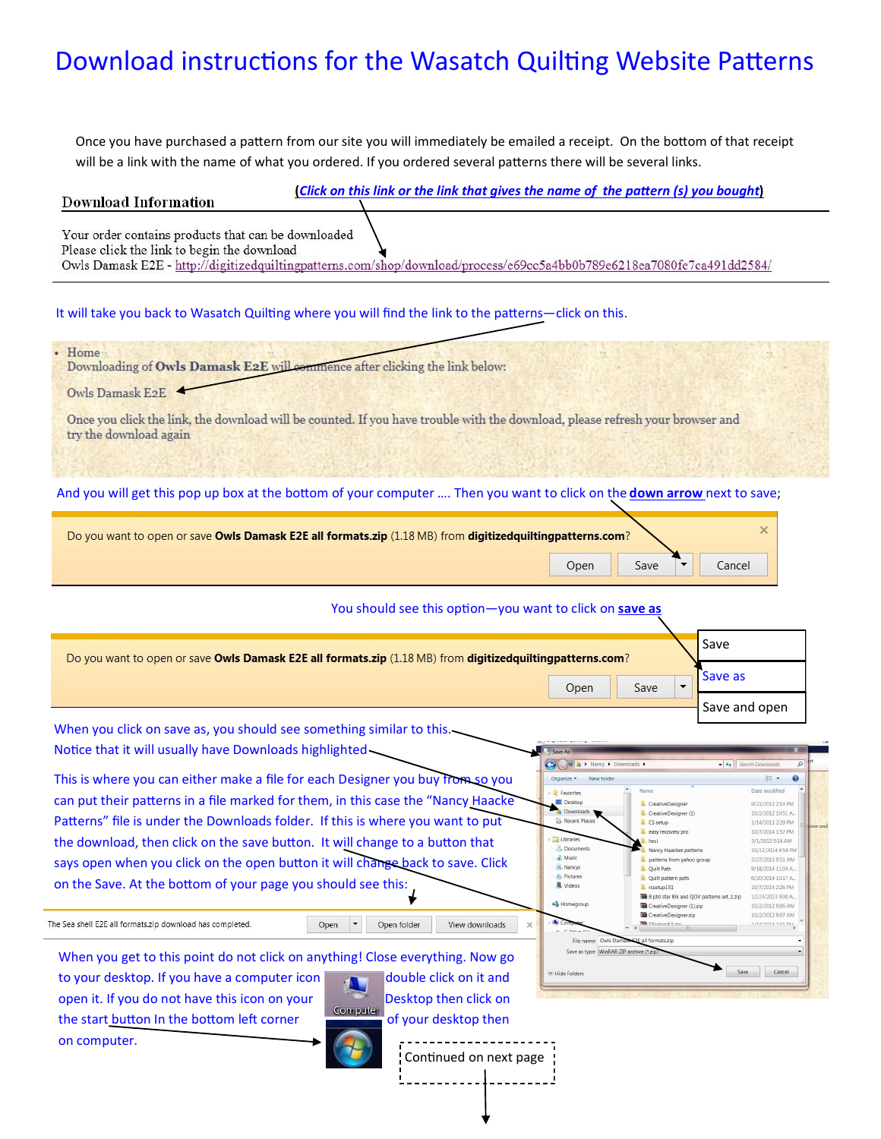## Download instructions for the Wasatch Quilting Website Patterns

Once you have purchased a pattern from our site you will immediately be emailed a receipt. On the bottom of that receipt will be a link with the name of what you ordered. If you ordered several patterns there will be several links.

## **Download Information**

**(***Click on this link or the link that gives the name of the pattern (s) you bought***)**

Your order contains products that can be downloaded Please click the link to begin the download

Owls Damask E2E - http://digitizedquiltingpatterns.com/shop/download/process/e69cc5a4bb0b789e6218ea7080fe7ca491dd2584/

It will take you back to Wasatch Quilting where you will find the link to the patterns—click on this.

| Home<br>Downloading of Owls Damask E2E will commence after clicking the link below:                                                                     |
|---------------------------------------------------------------------------------------------------------------------------------------------------------|
| Owls Damask E2E                                                                                                                                         |
| Once you click the link, the download will be counted. If you have trouble with the download, please refresh your browser and<br>try the download again |
|                                                                                                                                                         |

And you will get this pop up box at the bottom of your computer …. Then you want to click on the **down arrow** next to save;

| Do you want to open or save Owls Damask E2E all formats.zip (1.18 MB) from digitized quilting patterns.com? |      |  |        |
|-------------------------------------------------------------------------------------------------------------|------|--|--------|
| Open                                                                                                        | Save |  | Cancel |

## You should see this option—you want to click on **save as**

**Report Follows** 

| Do you want to open or save Owls Damask E2E all formats.zip (1.18 MB) from digitized quilting patterns.com? |      | Save          |
|-------------------------------------------------------------------------------------------------------------|------|---------------|
| Open                                                                                                        | Save |               |
|                                                                                                             |      | Save and open |

click on save a Notice that it will usually have Downloads highlighted

This is where you can either make a file for each Designer you buy from so you can put their patterns in a file marked for them, in this case the "Nancy Haacke Patterns" file is under the Downloads folder. If this is where you want to put the download, then click on the save button. It will change to a button that says open when you click on the open button it will change back to save. Click on the Save. At the bottom of your page you should see this:

The Sea shell E2E all formats.zip download has completed.

When you get to this point do not click on anything! Close everything. Now go

to your desktop. If you have a computer icon double click on it and open it. If you do not have this icon on your Desktop then click on the start button In the bottom left corner of your desktop then on computer.

Open  $\vert \cdot \vert$ 

View downloads



Open folder

OO A > Nancy > D  $\overline{\bullet}$   $\overline{\bullet}$   $\overline{\bullet}$  Search Do  $\blacksquare$ Organize v New folder Date modified Favorites Name Desktop **L** CreativeDesigne 9/21/2012 2:53 PM 10/2/2012 10:51 A. CreativeDesigner (1)  $\blacksquare$ Recent Place L CS setup 1/14/2013 2:29 PM 10/7/2014 1:57 PM easy recovery pro Libraries 3/1/2012 9:14 AM heci Documents Nancy Haackes pattern 10/12/2014 4:54 PM Music patterns from yahoo group 5/27/2013 9:51 AM Nancys L Quilt Path 9/18/2014 11:04 A Pictures Quilt pattern pdfs 6/20/2014 10:17 A Videos  $l$ . rcsetup $151$ 10/7/2014 2:26 PM 8 ptd star Blk and QOV patterns set\_1.zip 12/23/2013 9:00 A. 8 Homegroup CreativeDesigner (1).zip 10/2/2012 9:06 AM 10/2/2012 9:07 AM CreativeDesigner.zip **C**Cratind 1 vin 171479019 9-21 014 File name: 0 Save as type: WinRAR ZIP archive (\*.zip) Save Cancel Hide Folders